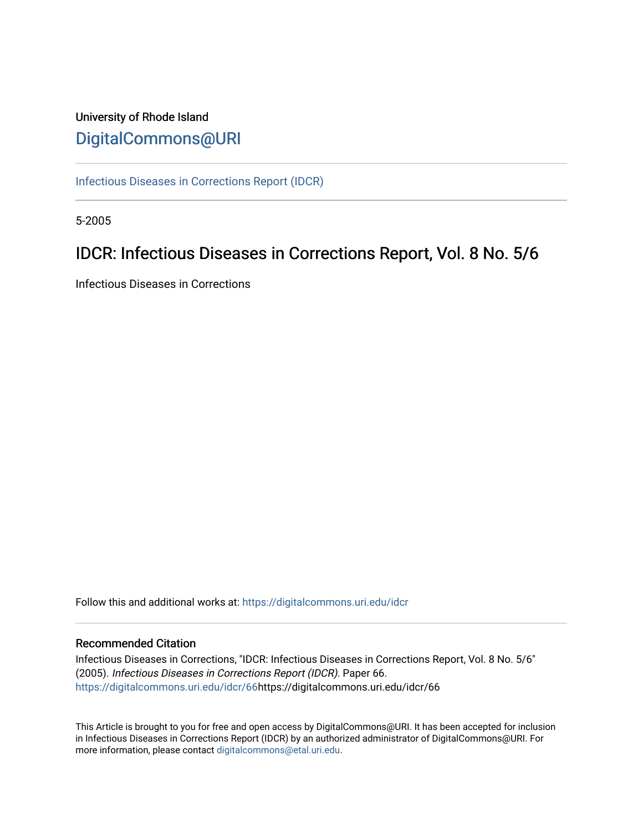## University of Rhode Island [DigitalCommons@URI](https://digitalcommons.uri.edu/)

[Infectious Diseases in Corrections Report \(IDCR\)](https://digitalcommons.uri.edu/idcr)

5-2005

## IDCR: Infectious Diseases in Corrections Report, Vol. 8 No. 5/6

Infectious Diseases in Corrections

Follow this and additional works at: [https://digitalcommons.uri.edu/idcr](https://digitalcommons.uri.edu/idcr?utm_source=digitalcommons.uri.edu%2Fidcr%2F66&utm_medium=PDF&utm_campaign=PDFCoverPages)

#### Recommended Citation

Infectious Diseases in Corrections, "IDCR: Infectious Diseases in Corrections Report, Vol. 8 No. 5/6" (2005). Infectious Diseases in Corrections Report (IDCR). Paper 66. [https://digitalcommons.uri.edu/idcr/66h](https://digitalcommons.uri.edu/idcr/66?utm_source=digitalcommons.uri.edu%2Fidcr%2F66&utm_medium=PDF&utm_campaign=PDFCoverPages)ttps://digitalcommons.uri.edu/idcr/66

This Article is brought to you for free and open access by DigitalCommons@URI. It has been accepted for inclusion in Infectious Diseases in Corrections Report (IDCR) by an authorized administrator of DigitalCommons@URI. For more information, please contact [digitalcommons@etal.uri.edu.](mailto:digitalcommons@etal.uri.edu)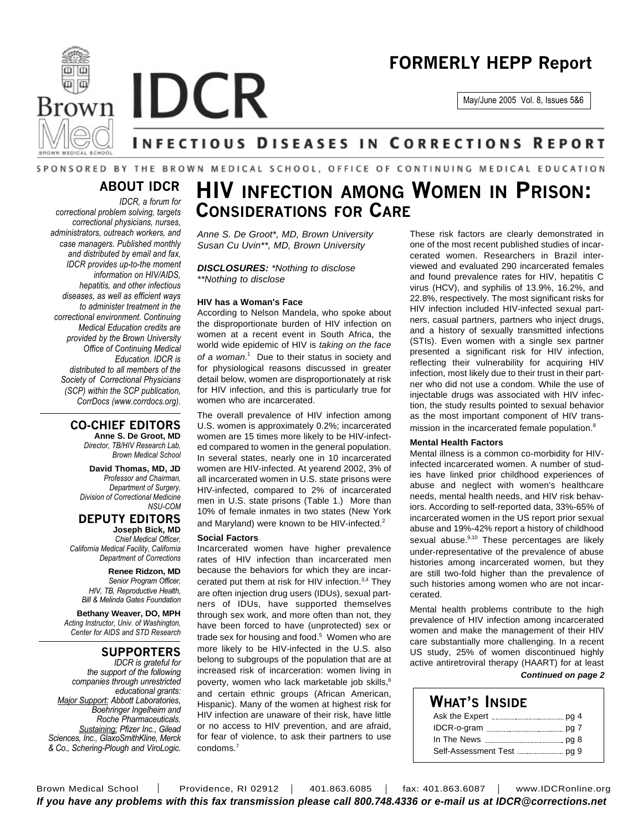

May/June 2005 Vol. 8, Issues 5&6



# **Brown IDCR**

# **INFECTIOUS DISEASES IN CORRECTIONS REPORT**

#### SPONSORED BY THE BROWN MEDICAL SCHOOL, OFFICE OF CONTINUING MEDICAL EDUCATION

## **ABOUT IDCR**

*IDCR, a forum for correctional problem solving, targets correctional physicians, nurses, administrators, outreach workers, and case managers. Published monthly and distributed by email and fax, IDCR provides up-to-the moment information on HIV/AIDS, hepatitis, and other infectious diseases, as well as efficient ways to administer treatment in the correctional environment. Continuing Medical Education credits are provided by the Brown University Office of Continuing Medical Education. IDCR is distributed to all members of the Society of Correctional Physicians (SCP) within the SCP publication, CorrDocs (www.corrdocs.org).*

#### **CO-CHIEF EDITORS**

**Anne S. De Groot, MD** *Director, TB/HIV Research Lab, Brown Medical School*

**David Thomas, MD, JD** *Professor and Chairman, Department of Surgery, Division of Correctional Medicine NSU-COM*

## **DEPUTY EDITORS**

**Joseph Bick, MD** *Chief Medical Officer, California Medical Facility, California Department of Corrections*

> **Renee Ridzon, MD** *Senior Program Officer, HIV, TB, Reproductive Health, Bill & Melinda Gates Foundation*

**Bethany Weaver, DO, MPH** *Acting Instructor, Univ. of Washington, Center for AIDS and STD Research*

#### **SUPPORTERS**

*IDCR is grateful for the support of the following companies through unrestricted educational grants: Major Support: Abbott Laboratories, Boehringer Ingelheim and Roche Pharmaceuticals. Sustaining: Pfizer Inc., Gilead Sciences, Inc., GlaxoSmithKline, Merck & Co., Schering-Plough and ViroLogic.*

# **HIV INFECTION AMONG WOMEN IN PRISON: CONSIDERATIONS FOR CARE**

*Anne S. De Groot\*, MD, Brown University Susan Cu Uvin\*\*, MD, Brown University*

*DISCLOSURES: \*Nothing to disclose \*\*Nothing to disclose*

#### **HIV has a Woman's Face**

According to Nelson Mandela, who spoke about the disproportionate burden of HIV infection on women at a recent event in South Africa, the world wide epidemic of HIV is *taking on the face of a woman*. <sup>1</sup> Due to their status in society and for physiological reasons discussed in greater detail below, women are disproportionately at risk for HIV infection, and this is particularly true for women who are incarcerated.

The overall prevalence of HIV infection among U.S. women is approximately 0.2%; incarcerated women are 15 times more likely to be HIV-infected compared to women in the general population. In several states, nearly one in 10 incarcerated women are HIV-infected. At yearend 2002, 3% of all incarcerated women in U.S. state prisons were HIV-infected, compared to 2% of incarcerated men in U.S. state prisons (Table 1.) More than 10% of female inmates in two states (New York and Maryland) were known to be HIV-infected.<sup>2</sup>

#### **Social Factors**

Incarcerated women have higher prevalence rates of HIV infection than incarcerated men because the behaviors for which they are incarcerated put them at risk for HIV infection.<sup>3,4</sup> They are often injection drug users (IDUs), sexual partners of IDUs, have supported themselves through sex work, and more often than not, they have been forced to have (unprotected) sex or trade sex for housing and food. <sup>5</sup> Women who are more likely to be HIV-infected in the U.S. also belong to subgroups of the population that are at increased risk of incarceration: women living in poverty, women who lack marketable job skills, 6 and certain ethnic groups (African American, Hispanic). Many of the women at highest risk for HIV infection are unaware of their risk, have little or no access to HIV prevention, and are afraid, for fear of violence, to ask their partners to use condoms. 7

These risk factors are clearly demonstrated in one of the most recent published studies of incarcerated women. Researchers in Brazil interviewed and evaluated 290 incarcerated females and found prevalence rates for HIV, hepatitis C virus (HCV), and syphilis of 13.9%, 16.2%, and 22.8%, respectively. The most significant risks for HIV infection included HIV-infected sexual partners, casual partners, partners who inject drugs, and a history of sexually transmitted infections (STIs). Even women with a single sex partner presented a significant risk for HIV infection, reflecting their vulnerability for acquiring HIV infection, most likely due to their trust in their partner who did not use a condom. While the use of injectable drugs was associated with HIV infection, the study results pointed to sexual behavior as the most important component of HIV transmission in the incarcerated female population.<sup>8</sup>

#### **Mental Health Factors**

Mental illness is a common co-morbidity for HIVinfected incarcerated women. A number of studies have linked prior childhood experiences of abuse and neglect with women's healthcare needs, mental health needs, and HIV risk behaviors. According to self-reported data, 33%-65% of incarcerated women in the US report prior sexual abuse and 19%-42% report a history of childhood sexual abuse.<sup>9,10</sup> These percentages are likely under-representative of the prevalence of abuse histories among incarcerated women, but they are still two-fold higher than the prevalence of such histories among women who are not incarcerated.

Mental health problems contribute to the high prevalence of HIV infection among incarcerated women and make the management of their HIV care substantially more challenging. In a recent US study, 25% of women discontinued highly active antiretroviral therapy (HAART) for at least *Continued on page 2*

### **WHAT'S INSIDE**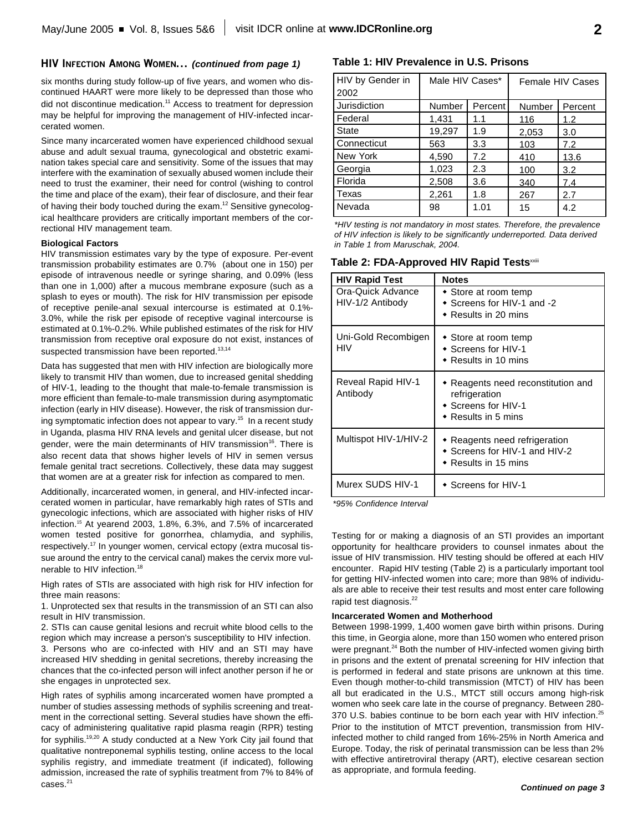#### **HIV INFECTION AMONG WOMEN...** *(continued from page 1)*

six months during study follow-up of five years, and women who discontinued HAART were more likely to be depressed than those who did not discontinue medication. <sup>11</sup> Access to treatment for depression may be helpful for improving the management of HIV-infected incarcerated women.

Since many incarcerated women have experienced childhood sexual abuse and adult sexual trauma, gynecological and obstetric examination takes special care and sensitivity. Some of the issues that may interfere with the examination of sexually abused women include their need to trust the examiner, their need for control (wishing to control the time and place of the exam), their fear of disclosure, and their fear of having their body touched during the exam.<sup>12</sup> Sensitive gynecological healthcare providers are critically important members of the correctional HIV management team.

#### **Biological Factors**

HIV transmission estimates vary by the type of exposure. Per-event transmission probability estimates are 0.7% (about one in 150) per episode of intravenous needle or syringe sharing, and 0.09% (less than one in 1,000) after a mucous membrane exposure (such as a splash to eyes or mouth). The risk for HIV transmission per episode of receptive penile-anal sexual intercourse is estimated at 0.1%- 3.0%, while the risk per episode of receptive vaginal intercourse is estimated at 0.1%-0.2%. While published estimates of the risk for HIV transmission from receptive oral exposure do not exist, instances of suspected transmission have been reported.<sup>13,14</sup>

Data has suggested that men with HIV infection are biologically more likely to transmit HIV than women, due to increased genital shedding of HIV-1, leading to the thought that male-to-female transmission is more efficient than female-to-male transmission during asymptomatic infection (early in HIV disease). However, the risk of transmission during symptomatic infection does not appear to vary. 15 In a recent study in Uganda, plasma HIV RNA levels and genital ulcer disease, but not gender, were the main determinants of HIV transmission<sup>16</sup>. There is also recent data that shows higher levels of HIV in semen versus female genital tract secretions. Collectively, these data may suggest that women are at a greater risk for infection as compared to men.

Additionally, incarcerated women, in general, and HIV-infected incarcerated women in particular, have remarkably high rates of STIs and gynecologic infections, which are associated with higher risks of HIV infection. <sup>15</sup> At yearend 2003, 1.8%, 6.3%, and 7.5% of incarcerated women tested positive for gonorrhea, chlamydia, and syphilis, respectively.<sup>17</sup> In younger women, cervical ectopy (extra mucosal tissue around the entry to the cervical canal) makes the cervix more vulnerable to HIV infection.<sup>18</sup>

High rates of STIs are associated with high risk for HIV infection for three main reasons:

1. Unprotected sex that results in the transmission of an STI can also result in HIV transmission.

2. STIs can cause genital lesions and recruit white blood cells to the region which may increase a person's susceptibility to HIV infection. 3. Persons who are co-infected with HIV and an STI may have increased HIV shedding in genital secretions, thereby increasing the chances that the co-infected person will infect another person if he or she engages in unprotected sex.

High rates of syphilis among incarcerated women have prompted a number of studies assessing methods of syphilis screening and treatment in the correctional setting. Several studies have shown the efficacy of administering qualitative rapid plasma reagin (RPR) testing for syphilis.<sup>19,20</sup> A study conducted at a New York City jail found that qualitative nontreponemal syphilis testing, online access to the local syphilis registry, and immediate treatment (if indicated), following admission, increased the rate of syphilis treatment from 7% to 84% of cases. 21

#### **Table 1: HIV Prevalence in U.S. Prisons**

| HIV by Gender in<br>2002 | Male HIV Cases* |         | <b>Female HIV Cases</b> |         |
|--------------------------|-----------------|---------|-------------------------|---------|
|                          |                 |         |                         |         |
| Jurisdiction             | Number          | Percent | Number                  | Percent |
| Federal                  | 1,431           | 1.1     | 116                     | 1.2     |
| <b>State</b>             | 19,297          | 1.9     | 2,053                   | 3.0     |
| Connecticut              | 563             | 3.3     | 103                     | 7.2     |
| New York                 | 4,590           | 7.2     | 410                     | 13.6    |
| Georgia                  | 1,023           | 2.3     | 100                     | 3.2     |
| Florida                  | 2,508           | 3.6     | 340                     | 7.4     |
| Texas                    | 2,261           | 1.8     | 267                     | 2.7     |
| Nevada                   | 98              | 1.01    | 15                      | 4.2     |

*\*HIV testing is not mandatory in most states. Therefore, the prevalence of HIV infection is likely to be significantly underreported. Data derived in Table 1 from Maruschak, 2004.*

| Table 2: FDA-Approved HIV Rapid Tests <sup>∞iii</sup> |  |  |  |
|-------------------------------------------------------|--|--|--|
|-------------------------------------------------------|--|--|--|

| <b>HIV Rapid Test</b>                 | <b>Notes</b>                                                                                              |
|---------------------------------------|-----------------------------------------------------------------------------------------------------------|
| Ora-Quick Advance<br>HIV-1/2 Antibody | • Store at room temp<br>$\bullet$ Screens for HIV-1 and -2<br>$\bullet$ Results in 20 mins                |
| Uni-Gold Recombigen<br>HIV            | • Store at room temp<br>◆ Screens for HIV-1<br>$\bullet$ Results in 10 mins                               |
| Reveal Rapid HIV-1<br>Antibody        | • Reagents need reconstitution and<br>refrigeration<br>◆ Screens for HIV-1<br>$\bullet$ Results in 5 mins |
| Multispot HIV-1/HIV-2                 | • Reagents need refrigeration<br>◆ Screens for HIV-1 and HIV-2<br>$\bullet$ Results in 15 mins            |
| Murex SUDS HIV-1                      | ◆ Screens for HIV-1                                                                                       |

*\*95% Confidence Interval*

Testing for or making a diagnosis of an STI provides an important opportunity for healthcare providers to counsel inmates about the issue of HIV transmission. HIV testing should be offered at each HIV encounter. Rapid HIV testing (Table 2) is a particularly important tool for getting HIV-infected women into care; more than 98% of individuals are able to receive their test results and most enter care following rapid test diagnosis.<sup>22</sup>

#### **Incarcerated Women and Motherhood**

Between 1998-1999, 1,400 women gave birth within prisons. During this time, in Georgia alone, more than 150 women who entered prison were pregnant.<sup>24</sup> Both the number of HIV-infected women giving birth in prisons and the extent of prenatal screening for HIV infection that is performed in federal and state prisons are unknown at this time. Even though mother-to-child transmission (MTCT) of HIV has been all but eradicated in the U.S., MTCT still occurs among high-risk women who seek care late in the course of pregnancy. Between 280- 370 U.S. babies continue to be born each year with HIV infection.<sup>25</sup> Prior to the institution of MTCT prevention, transmission from HIVinfected mother to child ranged from 16%-25% in North America and Europe. Today, the risk of perinatal transmission can be less than 2% with effective antiretroviral therapy (ART), elective cesarean section as appropriate, and formula feeding.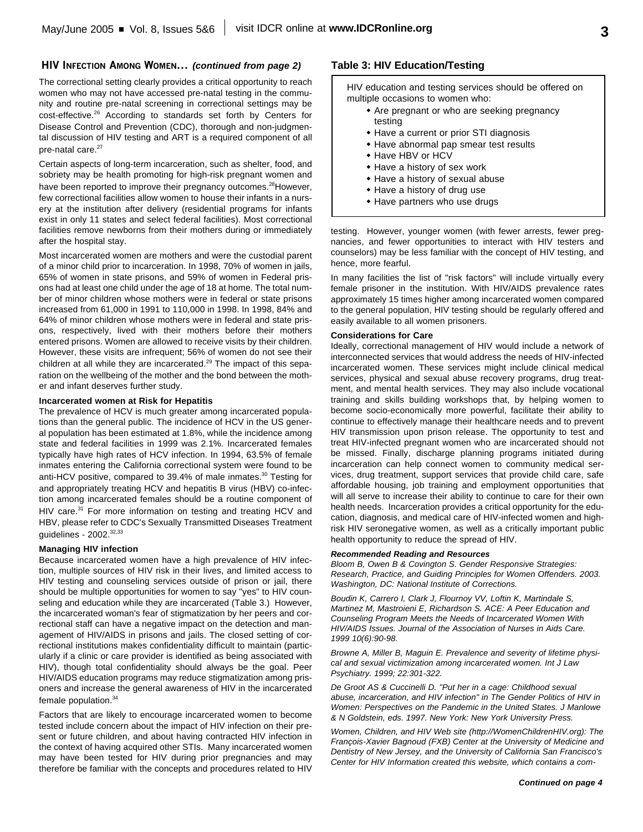#### **HIV INFECTION AMONG WOMEN...** *(continued from page 2)*

The correctional setting clearly provides a critical opportunity to reach women who may not have accessed pre-natal testing in the community and routine pre-natal screening in correctional settings may be cost-effective.<sup>26</sup> According to standards set forth by Centers for Disease Control and Prevention (CDC), thorough and non-judgmental discussion of HIV testing and ART is a required component of all pre-natal care. 27

Certain aspects of long-term incarceration, such as shelter, food, and sobriety may be health promoting for high-risk pregnant women and have been reported to improve their pregnancy outcomes.<sup>28</sup> However, few correctional facilities allow women to house their infants in a nursery at the institution after delivery (residential programs for infants exist in only 11 states and select federal facilities). Most correctional facilities remove newborns from their mothers during or immediately after the hospital stay.

Most incarcerated women are mothers and were the custodial parent of a minor child prior to incarceration. In 1998, 70% of women in jails, 65% of women in state prisons, and 59% of women in Federal prisons had at least one child under the age of 18 at home. The total number of minor children whose mothers were in federal or state prisons increased from 61,000 in 1991 to 110,000 in 1998. In 1998, 84% and 64% of minor children whose mothers were in federal and state prisons, respectively, lived with their mothers before their mothers entered prisons. Women are allowed to receive visits by their children. However, these visits are infrequent; 56% of women do not see their children at all while they are incarcerated.<sup>29</sup> The impact of this separation on the wellbeing of the mother and the bond between the mother and infant deserves further study.

#### **Incarcerated women at Risk for Hepatitis**

The prevalence of HCV is much greater among incarcerated populations than the general public. The incidence of HCV in the US general population has been estimated at 1.8%, while the incidence among state and federal facilities in 1999 was 2.1%. Incarcerated females typically have high rates of HCV infection. In 1994, 63.5% of female inmates entering the California correctional system were found to be anti-HCV positive, compared to 39.4% of male inmates. <sup>30</sup> Testing for and appropriately treating HCV and hepatitis B virus (HBV) co-infection among incarcerated females should be a routine component of HIV care.<sup>31</sup> For more information on testing and treating HCV and HBV, please refer to CDC's Sexually Transmitted Diseases Treatment guidelines - 2002.<sup>32,33</sup>

#### **Managing HIV infection**

Because incarcerated women have a high prevalence of HIV infection, multiple sources of HIV risk in their lives, and limited access to HIV testing and counseling services outside of prison or jail, there should be multiple opportunities for women to say "yes" to HIV counseling and education while they are incarcerated (Table 3.) However, the incarcerated woman's fear of stigmatization by her peers and correctional staff can have a negative impact on the detection and management of HIV/AIDS in prisons and jails. The closed setting of correctional institutions makes confidentiality difficult to maintain (particularly if a clinic or care provider is identified as being associated with HIV), though total confidentiality should always be the goal. Peer HIV/AIDS education programs may reduce stigmatization among prisoners and increase the general awareness of HIV in the incarcerated female population. 34

Factors that are likely to encourage incarcerated women to become tested include concern about the impact of HIV infection on their present or future children, and about having contracted HIV infection in the context of having acquired other STIs. Many incarcerated women may have been tested for HIV during prior pregnancies and may therefore be familiar with the concepts and procedures related to HIV

#### **Table 3: HIV Education/Testing**

HIV education and testing services should be offered on multiple occasions to women who:

- \* Are pregnant or who are seeking pregnancy testing
- Have a current or prior STI diagnosis
- Have abnormal pap smear test results
- Have HBV or HCV
- Have a history of sex work
- Have a history of sexual abuse
- Have a history of drug use
- $\bullet$  Have partners who use drugs

testing. However, younger women (with fewer arrests, fewer pregnancies, and fewer opportunities to interact with HIV testers and counselors) may be less familiar with the concept of HIV testing, and hence, more fearful.

In many facilities the list of "risk factors" will include virtually every female prisoner in the institution. With HIV/AIDS prevalence rates approximately 15 times higher among incarcerated women compared to the general population, HIV testing should be regularly offered and easily available to all women prisoners.

#### **Considerations for Care**

Ideally, correctional management of HIV would include a network of interconnected services that would address the needs of HIV-infected incarcerated women. These services might include clinical medical services, physical and sexual abuse recovery programs, drug treatment, and mental health services. They may also include vocational training and skills building workshops that, by helping women to become socio-economically more powerful, facilitate their ability to continue to effectively manage their healthcare needs and to prevent HIV transmission upon prison release. The opportunity to test and treat HIV-infected pregnant women who are incarcerated should not be missed. Finally, discharge planning programs initiated during incarceration can help connect women to community medical services, drug treatment, support services that provide child care, safe affordable housing, job training and employment opportunities that will all serve to increase their ability to continue to care for their own health needs. Incarceration provides a critical opportunity for the education, diagnosis, and medical care of HIV-infected women and highrisk HIV seronegative women, as well as a critically important public health opportunity to reduce the spread of HIV.

#### *Recommended Reading and Resources*

*Bloom B, Owen B & Covington S. Gender Responsive Strategies: Research, Practice, and Guiding Principles for Women Offenders. 2003. Washington, DC: National Institute of Corrections.*

*Boudin K, Carrero I, Clark J, Flournoy VV, Loftin K, Martindale S, Martinez M, Mastroieni E, Richardson S. ACE: A Peer Education and Counseling Program Meets the Needs of Incarcerated Women With HIV/AIDS Issues. Journal of the Association of Nurses in Aids Care. 1999 10(6):90-98.*

*Browne A, Miller B, Maguin E. Prevalence and severity of lifetime physical and sexual victimization among incarcerated women. Int J Law Psychiatry. 1999; 22:301-322.*

*De Groot AS & Cuccinelli D. "Put her in a cage: Childhood sexual abuse, incarceration, and HIV infection" in The Gender Politics of HIV in Women: Perspectives on the Pandemic in the United States. J Manlowe & N Goldstein, eds. 1997. New York: New York University Press.*

*Women, Children, and HIV Web site (http://WomenChildrenHIV.org): The François-Xavier Bagnoud (FXB) Center at the University of Medicine and Dentistry of New Jersey, and the University of California San Francisco's Center for HIV Information created this website, which contains a com-*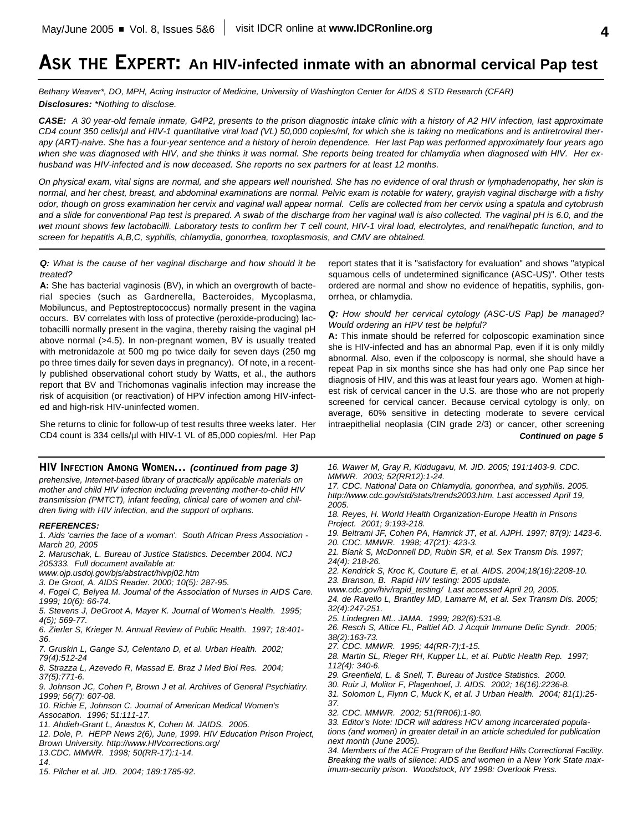# **ASK THE EXPERT: An HIV-infected inmate with an abnormal cervical Pap test**

*Bethany Weaver\*, DO, MPH, Acting Instructor of Medicine, University of Washington Center for AIDS & STD Research (CFAR) Disclosures: \*Nothing to disclose.*

*CASE: A 30 year-old female inmate, G4P2, presents to the prison diagnostic intake clinic with a history of A2 HIV infection, last approximate CD4 count 350 cells/µl and HIV-1 quantitative viral load (VL) 50,000 copies/ml, for which she is taking no medications and is antiretroviral therapy (ART)-naive. She has a four-year sentence and a history of heroin dependence. Her last Pap was performed approximately four years ago when she was diagnosed with HIV, and she thinks it was normal. She reports being treated for chlamydia when diagnosed with HIV. Her exhusband was HIV-infected and is now deceased. She reports no sex partners for at least 12 months.*

*On physical exam, vital signs are normal, and she appears well nourished. She has no evidence of oral thrush or lymphadenopathy, her skin is normal, and her chest, breast, and abdominal examinations are normal. Pelvic exam is notable for watery, grayish vaginal discharge with a fishy odor, though on gross examination her cervix and vaginal wall appear normal. Cells are collected from her cervix using a spatula and cytobrush and a slide for conventional Pap test is prepared. A swab of the discharge from her vaginal wall is also collected. The vaginal pH is 6.0, and the wet mount shows few lactobacilli. Laboratory tests to confirm her T cell count, HIV-1 viral load, electrolytes, and renal/hepatic function, and to screen for hepatitis A,B,C, syphilis, chlamydia, gonorrhea, toxoplasmosis, and CMV are obtained.*

*Q: What is the cause of her vaginal discharge and how should it be treated?*

**A:** She has bacterial vaginosis (BV), in which an overgrowth of bacterial species (such as Gardnerella, Bacteroides, Mycoplasma, Mobiluncus, and Peptostreptococcus) normally present in the vagina occurs. BV correlates with loss of protective (peroxide-producing) lactobacilli normally present in the vagina, thereby raising the vaginal pH above normal (>4.5). In non-pregnant women, BV is usually treated with metronidazole at 500 mg po twice daily for seven days (250 mg po three times daily for seven days in pregnancy). Of note, in a recently published observational cohort study by Watts, et al., the authors report that BV and Trichomonas vaginalis infection may increase the risk of acquisition (or reactivation) of HPV infection among HIV-infected and high-risk HIV-uninfected women.

She returns to clinic for follow-up of test results three weeks later. Her CD4 count is 334 cells/µl with HIV-1 VL of 85,000 copies/ml. Her Pap

#### **HIV INFECTION AMONG WOMEN...** *(continued from page 3)*

*prehensive, Internet-based library of practically applicable materials on mother and child HIV infection including preventing mother-to-child HIV transmission (PMTCT), infant feeding, clinical care of women and children living with HIV infection, and the support of orphans.*

#### *REFERENCES:*

*1. Aids 'carries the face of a woman'. South African Press Association - March 20, 2005*

*2. Maruschak, L. Bureau of Justice Statistics. December 2004. NCJ 205333. Full document available at:*

*www.ojp.usdoj.gov/bjs/abstract/hivpj02.htm*

*3. De Groot, A. AIDS Reader. 2000; 10(5): 287-95.*

*4. Fogel C, Belyea M. Journal of the Association of Nurses in AIDS Care. 1999; 10(6): 66-74.*

*5. Stevens J, DeGroot A, Mayer K. Journal of Women's Health. 1995; 4(5); 569-77.*

*6. Zierler S, Krieger N. Annual Review of Public Health. 1997; 18:401- 36.*

*7. Gruskin L, Gange SJ, Celentano D, et al. Urban Health. 2002; 79(4):512-24*

*8. Strazza L, Azevedo R, Massad E. Braz J Med Biol Res. 2004; 37(5):771-6.*

*9. Johnson JC, Cohen P, Brown J et al. Archives of General Psychiatiry. 1999; 56(7): 607-08.*

*10. Richie E, Johnson C. Journal of American Medical Women's Assocation. 1996; 51:111-17.*

*11. Ahdieh-Grant L, Anastos K, Cohen M. JAIDS. 2005.*

*12. Dole, P. HEPP News 2(6), June, 1999. HIV Education Prison Project, Brown University. http://www.HIVcorrections.org/*

*13.CDC. MMWR. 1998; 50(RR-17):1-14.*

*14.*

*15. Pilcher et al. JID. 2004; 189:1785-92.*

report states that it is "satisfactory for evaluation" and shows "atypical squamous cells of undetermined significance (ASC-US)". Other tests ordered are normal and show no evidence of hepatitis, syphilis, gonorrhea, or chlamydia.

*Q: How should her cervical cytology (ASC-US Pap) be managed? Would ordering an HPV test be helpful?*

**A:** This inmate should be referred for colposcopic examination since she is HIV-infected and has an abnormal Pap, even if it is only mildly abnormal. Also, even if the colposcopy is normal, she should have a repeat Pap in six months since she has had only one Pap since her diagnosis of HIV, and this was at least four years ago. Women at highest risk of cervical cancer in the U.S. are those who are not properly screened for cervical cancer. Because cervical cytology is only, on average, 60% sensitive in detecting moderate to severe cervical intraepithelial neoplasia (CIN grade 2/3) or cancer, other screening *Continued on page 5*

*16. Wawer M, Gray R, Kiddugavu, M. JID. 2005; 191:1403-9. CDC. MMWR. 2003; 52(RR12):1-24.*

*17. CDC. National Data on Chlamydia, gonorrhea, and syphilis. 2005. http://www.cdc.gov/std/stats/trends2003.htm. Last accessed April 19, 2005.*

*18. Reyes, H. World Health Organization-Europe Health in Prisons Project. 2001; 9:193-218.*

*19. Beltrami JF, Cohen PA, Hamrick JT, et al. AJPH. 1997; 87(9): 1423-6. 20. CDC. MMWR. 1998; 47(21): 423-3.*

*21. Blank S, McDonnell DD, Rubin SR, et al. Sex Transm Dis. 1997; 24(4): 218-26.*

*22. Kendrick S, Kroc K, Couture E, et al. AIDS. 2004;18(16):2208-10.*

*23. Branson, B. Rapid HIV testing: 2005 update.*

*www.cdc.gov/hiv/rapid\_testing/ Last accessed April 20, 2005.*

*24. de Ravello L, Brantley MD, Lamarre M, et al. Sex Transm Dis. 2005; 32(4):247-251.*

*25. Lindegren ML. JAMA. 1999; 282(6):531-8.*

*26. Resch S, Altice FL, Paltiel AD. J Acquir Immune Defic Syndr. 2005; 38(2):163-73.*

*27. CDC. MMWR. 1995; 44(RR-7);1-15.*

*28. Martin SL, Rieger RH, Kupper LL, et al. Public Health Rep. 1997; 112(4): 340-6.*

*29. Greenfield, L. & Snell, T. Bureau of Justice Statistics. 2000.* 

*30. Ruiz J, Molitor F, Plagenhoef, J. AIDS. 2002; 16(16):2236-8.*

*31. Solomon L, Flynn C, Muck K, et al. J Urban Health. 2004; 81(1):25- 37.*

*32. CDC. MMWR. 2002; 51(RR06):1-80.*

*33. Editor's Note: IDCR will address HCV among incarcerated populations (and women) in greater detail in an article scheduled for publication next month (June 2005).*

*34. Members of the ACE Program of the Bedford Hills Correctional Facility. Breaking the walls of silence: AIDS and women in a New York State maximum-security prison. Woodstock, NY 1998: Overlook Press.*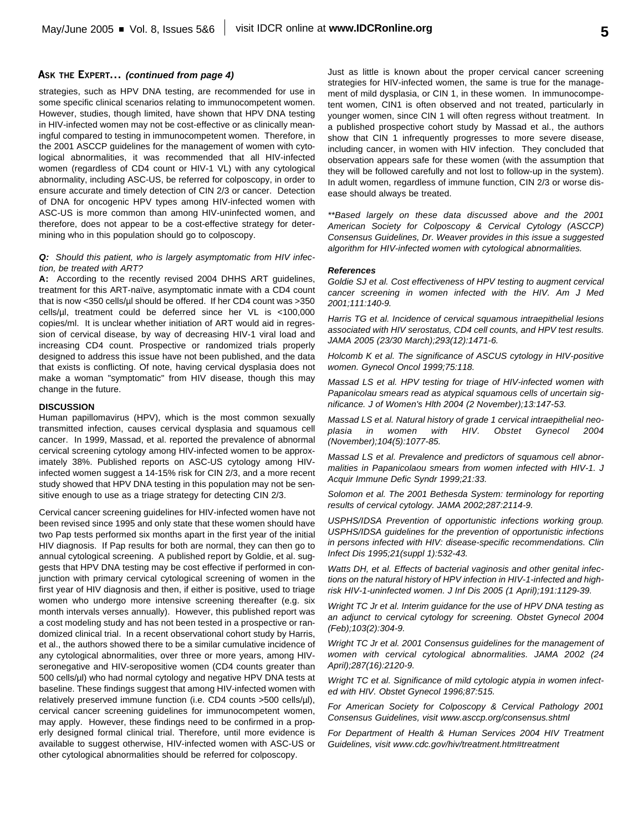#### **ASK THE EXPERT...** *(continued from page 4)*

strategies, such as HPV DNA testing, are recommended for use in some specific clinical scenarios relating to immunocompetent women. However, studies, though limited, have shown that HPV DNA testing in HIV-infected women may not be cost-effective or as clinically meaningful compared to testing in immunocompetent women. Therefore, in the 2001 ASCCP guidelines for the management of women with cytological abnormalities, it was recommended that all HIV-infected women (regardless of CD4 count or HIV-1 VL) with any cytological abnormality, including ASC-US, be referred for colposcopy, in order to ensure accurate and timely detection of CIN 2/3 or cancer. Detection of DNA for oncogenic HPV types among HIV-infected women with ASC-US is more common than among HIV-uninfected women, and therefore, does not appear to be a cost-effective strategy for determining who in this population should go to colposcopy.

#### *Q: Should this patient, who is largely asymptomatic from HIV infection, be treated with ART?*

**A:** According to the recently revised 2004 DHHS ART guidelines, treatment for this ART-naïve, asymptomatic inmate with a CD4 count that is now <350 cells/µl should be offered. If her CD4 count was >350 cells/µl, treatment could be deferred since her VL is <100,000 copies/ml. It is unclear whether initiation of ART would aid in regression of cervical disease, by way of decreasing HIV-1 viral load and increasing CD4 count. Prospective or randomized trials properly designed to address this issue have not been published, and the data that exists is conflicting. Of note, having cervical dysplasia does not make a woman "symptomatic" from HIV disease, though this may change in the future.

#### **DISCUSSION**

Human papillomavirus (HPV), which is the most common sexually transmitted infection, causes cervical dysplasia and squamous cell cancer. In 1999, Massad, et al. reported the prevalence of abnormal cervical screening cytology among HIV-infected women to be approximately 38%. Published reports on ASC-US cytology among HIVinfected women suggest a 14-15% risk for CIN 2/3, and a more recent study showed that HPV DNA testing in this population may not be sensitive enough to use as a triage strategy for detecting CIN 2/3.

Cervical cancer screening guidelines for HIV-infected women have not been revised since 1995 and only state that these women should have two Pap tests performed six months apart in the first year of the initial HIV diagnosis. If Pap results for both are normal, they can then go to annual cytological screening. A published report by Goldie, et al. suggests that HPV DNA testing may be cost effective if performed in conjunction with primary cervical cytological screening of women in the first year of HIV diagnosis and then, if either is positive, used to triage women who undergo more intensive screening thereafter (e.g. six month intervals verses annually). However, this published report was a cost modeling study and has not been tested in a prospective or randomized clinical trial. In a recent observational cohort study by Harris, et al., the authors showed there to be a similar cumulative incidence of any cytological abnormalities, over three or more years, among HIVseronegative and HIV-seropositive women (CD4 counts greater than 500 cells/µl) who had normal cytology and negative HPV DNA tests at baseline. These findings suggest that among HIV-infected women with relatively preserved immune function (i.e. CD4 counts >500 cells/µl), cervical cancer screening guidelines for immunocompetent women, may apply. However, these findings need to be confirmed in a properly designed formal clinical trial. Therefore, until more evidence is available to suggest otherwise, HIV-infected women with ASC-US or other cytological abnormalities should be referred for colposcopy.

Just as little is known about the proper cervical cancer screening strategies for HIV-infected women, the same is true for the management of mild dysplasia, or CIN 1, in these women. In immunocompetent women, CIN1 is often observed and not treated, particularly in younger women, since CIN 1 will often regress without treatment. In a published prospective cohort study by Massad et al., the authors show that CIN 1 infrequently progresses to more severe disease, including cancer, in women with HIV infection. They concluded that observation appears safe for these women (with the assumption that they will be followed carefully and not lost to follow-up in the system). In adult women, regardless of immune function, CIN 2/3 or worse disease should always be treated.

*\*\*Based largely on these data discussed above and the 2001 American Society for Colposcopy & Cervical Cytology (ASCCP) Consensus Guidelines, Dr. Weaver provides in this issue a suggested algorithm for HIV-infected women with cytological abnormalities.*

#### *References*

*Goldie SJ et al. Cost effectiveness of HPV testing to augment cervical cancer screening in women infected with the HIV. Am J Med 2001;111:140-9.* 

*Harris TG et al. Incidence of cervical squamous intraepithelial lesions associated with HIV serostatus, CD4 cell counts, and HPV test results. JAMA 2005 (23/30 March);293(12):1471-6.*

*Holcomb K et al. The significance of ASCUS cytology in HIV-positive women. Gynecol Oncol 1999;75:118.*

*Massad LS et al. HPV testing for triage of HIV-infected women with Papanicolau smears read as atypical squamous cells of uncertain significance. J of Women's Hlth 2004 (2 November);13:147-53.*

*Massad LS et al. Natural history of grade 1 cervical intraepithelial neoplasia in women with HIV. Obstet Gynecol 2004 (November);104(5):1077-85.*

*Massad LS et al. Prevalence and predictors of squamous cell abnormalities in Papanicolaou smears from women infected with HIV-1. J Acquir Immune Defic Syndr 1999;21:33.*

*Solomon et al. The 2001 Bethesda System: terminology for reporting results of cervical cytology. JAMA 2002;287:2114-9.*

*USPHS/IDSA Prevention of opportunistic infections working group. USPHS/IDSA guidelines for the prevention of opportunistic infections in persons infected with HIV: disease-specific recommendations. Clin Infect Dis 1995;21(suppl 1):532-43.*

*Watts DH, et al. Effects of bacterial vaginosis and other genital infections on the natural history of HPV infection in HIV-1-infected and highrisk HIV-1-uninfected women. J Inf Dis 2005 (1 April);191:1129-39.*

*Wright TC Jr et al. Interim guidance for the use of HPV DNA testing as an adjunct to cervical cytology for screening. Obstet Gynecol 2004 (Feb);103(2):304-9.*

*Wright TC Jr et al. 2001 Consensus guidelines for the management of women with cervical cytological abnormalities. JAMA 2002 (24 April);287(16):2120-9.*

*Wright TC et al. Significance of mild cytologic atypia in women infected with HIV. Obstet Gynecol 1996;87:515.*

*For American Society for Colposcopy & Cervical Pathology 2001 Consensus Guidelines, visit www.asccp.org/consensus.shtml*

*For Department of Health & Human Services 2004 HIV Treatment Guidelines, visit www.cdc.gov/hiv/treatment.htm#treatment*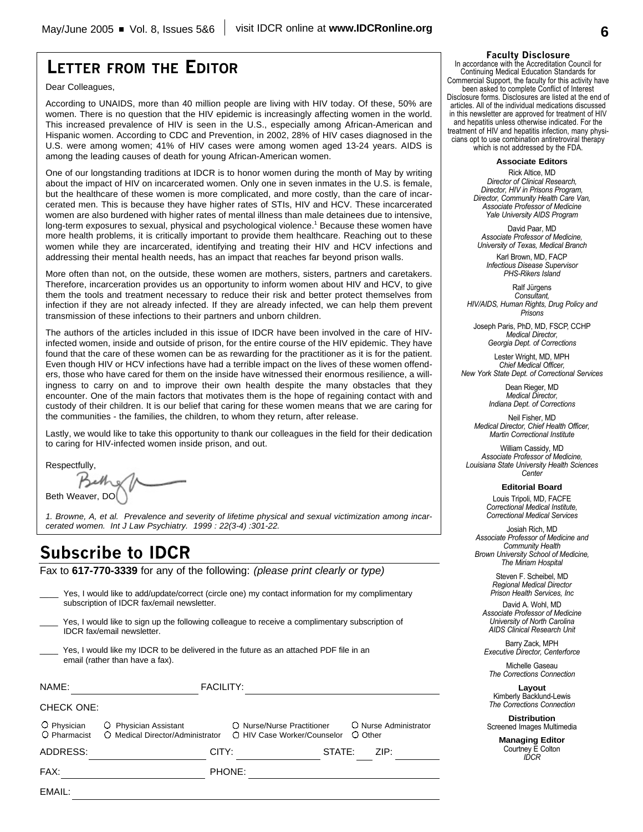## **LETTER FROM THE EDITOR**

Dear Colleagues,

According to UNAIDS, more than 40 million people are living with HIV today. Of these, 50% are women. There is no question that the HIV epidemic is increasingly affecting women in the world. This increased prevalence of HIV is seen in the U.S., especially among African-American and Hispanic women. According to CDC and Prevention, in 2002, 28% of HIV cases diagnosed in the U.S. were among women; 41% of HIV cases were among women aged 13-24 years. AIDS is among the leading causes of death for young African-American women.

One of our longstanding traditions at IDCR is to honor women during the month of May by writing about the impact of HIV on incarcerated women. Only one in seven inmates in the U.S. is female, but the healthcare of these women is more complicated, and more costly, than the care of incarcerated men. This is because they have higher rates of STIs, HIV and HCV. These incarcerated women are also burdened with higher rates of mental illness than male detainees due to intensive, long-term exposures to sexual, physical and psychological violence. <sup>1</sup> Because these women have more health problems, it is critically important to provide them healthcare. Reaching out to these women while they are incarcerated, identifying and treating their HIV and HCV infections and addressing their mental health needs, has an impact that reaches far beyond prison walls.

More often than not, on the outside, these women are mothers, sisters, partners and caretakers. Therefore, incarceration provides us an opportunity to inform women about HIV and HCV, to give them the tools and treatment necessary to reduce their risk and better protect themselves from infection if they are not already infected. If they are already infected, we can help them prevent transmission of these infections to their partners and unborn children.

The authors of the articles included in this issue of IDCR have been involved in the care of HIVinfected women, inside and outside of prison, for the entire course of the HIV epidemic. They have found that the care of these women can be as rewarding for the practitioner as it is for the patient. Even though HIV or HCV infections have had a terrible impact on the lives of these women offenders, those who have cared for them on the inside have witnessed their enormous resilience, a willingness to carry on and to improve their own health despite the many obstacles that they encounter. One of the main factors that motivates them is the hope of regaining contact with and custody of their children. It is our belief that caring for these women means that we are caring for the communities - the families, the children, to whom they return, after release.

Lastly, we would like to take this opportunity to thank our colleagues in the field for their dedication to caring for HIV-infected women inside prison, and out.

**Respectfully** 

Beth Weaver, DO

*1. Browne, A, et al. Prevalence and severity of lifetime physical and sexual victimization among incarcerated women. Int J Law Psychiatry. 1999 : 22(3-4) :301-22.*

## **Subscribe to IDCR**

Fax to **617-770-3339** for any of the following: *(please print clearly or type)*

| FAX:                        |                                                                                                                                                | PHONE:                                                    |        |                                  |
|-----------------------------|------------------------------------------------------------------------------------------------------------------------------------------------|-----------------------------------------------------------|--------|----------------------------------|
| ADDRESS:                    | CITY:                                                                                                                                          |                                                           | STATE: | ZIP:                             |
| O Physician<br>O Pharmacist | Physician Assistant<br>O.<br>O Medical Director/Administrator                                                                                  | ○ Nurse/Nurse Practitioner<br>○ HIV Case Worker/Counselor |        | O Nurse Administrator<br>O Other |
| NAME:<br><b>CHECK ONE:</b>  | <b>FACILITY:</b>                                                                                                                               |                                                           |        |                                  |
|                             | Yes, I would like my IDCR to be delivered in the future as an attached PDF file in an<br>email (rather than have a fax).                       |                                                           |        |                                  |
|                             | Yes, I would like to sign up the following colleague to receive a complimentary subscription of<br><b>IDCR</b> fax/email newsletter.           |                                                           |        |                                  |
|                             | Yes, I would like to add/update/correct (circle one) my contact information for my complimentary<br>subscription of IDCR fax/email newsletter. |                                                           |        |                                  |

**Faculty Disclosure**

In accordance with the Accreditation Council for Continuing Medical Education Standards for Commercial Support, the faculty for this activity have been asked to complete Conflict of Interest Disclosure forms. Disclosures are listed at the end of articles. All of the individual medications discussed in this newsletter are approved for treatment of HIV and hepatitis unless otherwise indicated. For the treatment of HIV and hepatitis infection, many physicians opt to use combination antiretroviral therapy which is not addressed by the FDA.

**Associate Editors**

Rick Altice, MD *Director of Clinical Research, Director, HIV in Prisons Program, Director, Community Health Care Van, Associate Professor of Medicine Yale University AIDS Program*

David Paar, MD *Associate Professor of Medicine, University of Texas, Medical Branch*

Karl Brown, MD, FACP *Infectious Disease Supervisor PHS-Rikers Island*

Ralf Jürgens *Consultant, HIV/AIDS, Human Rights, Drug Policy and Prisons*

Joseph Paris, PhD, MD, FSCP, CCHP *Medical Director, Georgia Dept. of Corrections*

Lester Wright, MD, MPH *Chief Medical Officer, New York State Dept. of Correctional Services*

> Dean Rieger, MD *Medical Director, Indiana Dept. of Corrections*

Neil Fisher, MD *Medical Director, Chief Health Officer, Martin Correctional Institute*

William Cassidy, MD *Associate Professor of Medicine, Louisiana State University Health Sciences Center*

**Editorial Board**

Louis Tripoli, MD, FACFE *Correctional Medical Institute, Correctional Medical Services*

Josiah Rich, MD *Associate Professor of Medicine and Community Health Brown University School of Medicine, The Miriam Hospital*

> Steven F. Scheibel, MD *Regional Medical Director Prison Health Services, Inc*

David A. Wohl, MD *Associate Professor of Medicine University of North Carolina AIDS Clinical Research Unit*

Barry Zack, MPH *Executive Director, Centerforce*

Michelle Gaseau *The Corrections Connection*

**Layout** Kimberly Backlund-Lewis *The Corrections Connection*

**Distribution** Screened Images Multimedia

> **Managing Editor** Courtney E Colton *IDCR*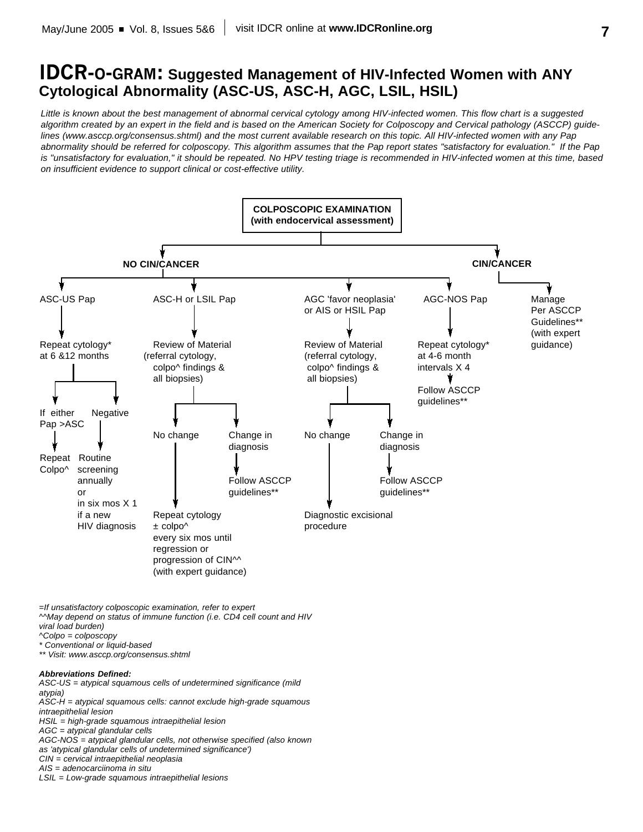## **IDCR-O-GRAM: Suggested Management of HIV-Infected Women with ANY Cytological Abnormality (ASC-US, ASC-H, AGC, LSIL, HSIL)**

*Little is known about the best management of abnormal cervical cytology among HIV-infected women. This flow chart is a suggested algorithm created by an expert in the field and is based on the American Society for Colposcopy and Cervical pathology (ASCCP) guidelines (www.asccp.org/consensus.shtml) and the most current available research on this topic. All HIV-infected women with any Pap abnormality should be referred for colposcopy. This algorithm assumes that the Pap report states "satisfactory for evaluation." If the Pap is "unsatisfactory for evaluation," it should be repeated. No HPV testing triage is recommended in HIV-infected women at this time, based on insufficient evidence to support clinical or cost-effective utility.*



*=If unsatisfactory colposcopic examination, refer to expert*

*^^May depend on status of immune function (i.e. CD4 cell count and HIV viral load burden)*

- *^Colpo = colposcopy*
- *\* Conventional or liquid-based*

*\*\* Visit: www.asccp.org/consensus.shtml*

#### *Abbreviations Defined:*

*ASC-US = atypical squamous cells of undetermined significance (mild atypia) ASC-H = atypical squamous cells: cannot exclude high-grade squamous intraepithelial lesion HSIL = high-grade squamous intraepithelial lesion AGC = atypical glandular cells AGC-NOS = atypical glandular cells, not otherwise specified (also known as 'atypical glandular cells of undetermined significance') CIN = cervical intraepithelial neoplasia AIS = adenocarciinoma in situ*

*LSIL = Low-grade squamous intraepithelial lesions*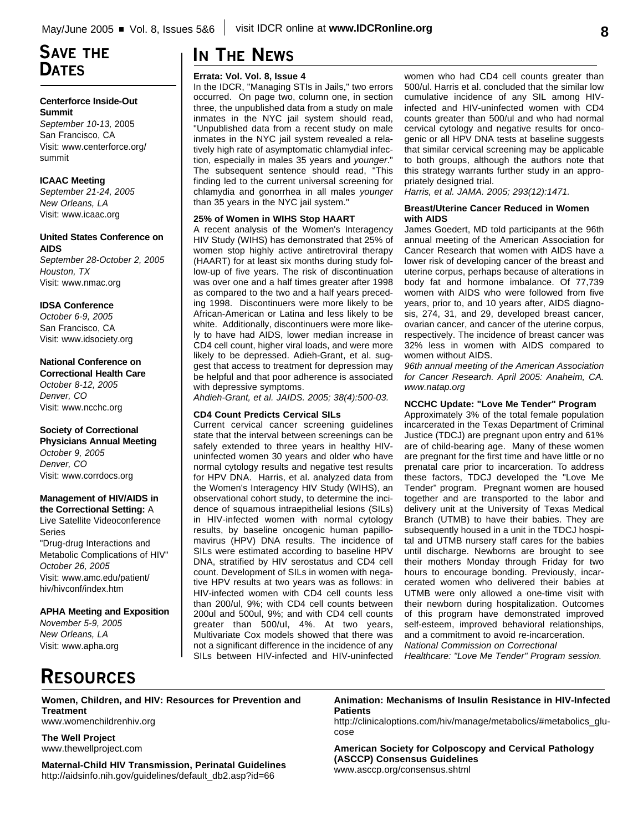## **SAVE THE DATES**

#### **Centerforce Inside-Out Summit**

*September 10-13,* 2005 San Francisco, CA Visit: www.centerforce.org/ summit

#### **ICAAC Meeting**

*September 21-24, 2005 New Orleans, LA* Visit: www.icaac.org

#### **United States Conference on AIDS**

*September 28-October 2, 2005 Houston, TX* Visit: www.nmac.org

#### **IDSA Conference**

*October 6-9, 2005* San Francisco, CA Visit: www.idsociety.org

#### **National Conference on**

**Correctional Health Care** *October 8-12, 2005 Denver, CO* Visit: www.ncchc.org

#### **Society of Correctional**

**Physicians Annual Meeting** *October 9, 2005 Denver, CO* Visit: www.corrdocs.org

#### **Management of HIV/AIDS in**

**the Correctional Setting:** A Live Satellite Videoconference Series "Drug-drug Interactions and Metabolic Complications of HIV" *October 26, 2005* Visit: www.amc.edu/patient/ hiv/hivconf/index.htm

**APHA Meeting and Exposition**

*November 5-9, 2005 New Orleans, LA* Visit: www.apha.org

# **IN THE NEWS**

#### **Errata: Vol. Vol. 8, Issue 4**

In the IDCR, "Managing STIs in Jails," two errors occurred. On page two, column one, in section three, the unpublished data from a study on male inmates in the NYC jail system should read, "Unpublished data from a recent study on male inmates in the NYC jail system revealed a relatively high rate of asymptomatic chlamydial infection, especially in males 35 years and *younger*." The subsequent sentence should read, "This finding led to the current universal screening for chlamydia and gonorrhea in all males *younger* than 35 years in the NYC jail system."

#### **25% of Women in WIHS Stop HAART**

A recent analysis of the Women's Interagency HIV Study (WIHS) has demonstrated that 25% of women stop highly active antiretroviral therapy (HAART) for at least six months during study follow-up of five years. The risk of discontinuation was over one and a half times greater after 1998 as compared to the two and a half years preceding 1998. Discontinuers were more likely to be African-American or Latina and less likely to be white. Additionally, discontinuers were more likely to have had AIDS, lower median increase in CD4 cell count, higher viral loads, and were more likely to be depressed. Adieh-Grant, et al. suggest that access to treatment for depression may be helpful and that poor adherence is associated with depressive symptoms.

*Ahdieh-Grant, et al. JAIDS. 2005; 38(4):500-03.*

#### **CD4 Count Predicts Cervical SILs**

Current cervical cancer screening guidelines state that the interval between screenings can be safely extended to three years in healthy HIVuninfected women 30 years and older who have normal cytology results and negative test results for HPV DNA. Harris, et al. analyzed data from the Women's Interagency HIV Study (WIHS), an observational cohort study, to determine the incidence of squamous intraepithelial lesions (SILs) in HIV-infected women with normal cytology results, by baseline oncogenic human papillomavirus (HPV) DNA results. The incidence of SILs were estimated according to baseline HPV DNA, stratified by HIV serostatus and CD4 cell count. Development of SILs in women with negative HPV results at two years was as follows: in HIV-infected women with CD4 cell counts less than 200/ul, 9%; with CD4 cell counts between 200ul and 500ul, 9%; and with CD4 cell counts greater than 500/ul, 4%. At two years, Multivariate Cox models showed that there was not a significant difference in the incidence of any SILs between HIV-infected and HIV-uninfected

women who had CD4 cell counts greater than 500/ul. Harris et al. concluded that the similar low cumulative incidence of any SIL among HIVinfected and HIV-uninfected women with CD4 counts greater than 500/ul and who had normal cervical cytology and negative results for oncogenic or all HPV DNA tests at baseline suggests that similar cervical screening may be applicable to both groups, although the authors note that this strategy warrants further study in an appropriately designed trial.

*Harris, et al. JAMA. 2005; 293(12):1471.*

#### **Breast/Uterine Cancer Reduced in Women with AIDS**

James Goedert, MD told participants at the 96th annual meeting of the American Association for Cancer Research that women with AIDS have a lower risk of developing cancer of the breast and uterine corpus, perhaps because of alterations in body fat and hormone imbalance. Of 77,739 women with AIDS who were followed from five years, prior to, and 10 years after, AIDS diagnosis, 274, 31, and 29, developed breast cancer, ovarian cancer, and cancer of the uterine corpus, respectively. The incidence of breast cancer was 32% less in women with AIDS compared to women without AIDS.

*96th annual meeting of the American Association for Cancer Research. April 2005: Anaheim, CA. www.natap.org*

#### **NCCHC Update: "Love Me Tender" Program**

Approximately 3% of the total female population incarcerated in the Texas Department of Criminal Justice (TDCJ) are pregnant upon entry and 61% are of child-bearing age. Many of these women are pregnant for the first time and have little or no prenatal care prior to incarceration. To address these factors, TDCJ developed the "Love Me Tender" program. Pregnant women are housed together and are transported to the labor and delivery unit at the University of Texas Medical Branch (UTMB) to have their babies. They are subsequently housed in a unit in the TDCJ hospital and UTMB nursery staff cares for the babies until discharge. Newborns are brought to see their mothers Monday through Friday for two hours to encourage bonding. Previously, incarcerated women who delivered their babies at UTMB were only allowed a one-time visit with their newborn during hospitalization. Outcomes of this program have demonstrated improved self-esteem, improved behavioral relationships, and a commitment to avoid re-incarceration. *National Commission on Correctional*

*Healthcare: "Love Me Tender" Program session.*

# **RESOURCES**

#### **Women, Children, and HIV: Resources for Prevention and Treatment**

www.womenchildrenhiv.org

**The Well Project** www.thewellproject.com

**Maternal-Child HIV Transmission, Perinatal Guidelines** http://aidsinfo.nih.gov/guidelines/default\_db2.asp?id=66

**Animation: Mechanisms of Insulin Resistance in HIV-Infected Patients** 

http://clinicaloptions.com/hiv/manage/metabolics/#metabolics\_glucose

**American Society for Colposcopy and Cervical Pathology (ASCCP) Consensus Guidelines** www.asccp.org/consensus.shtml